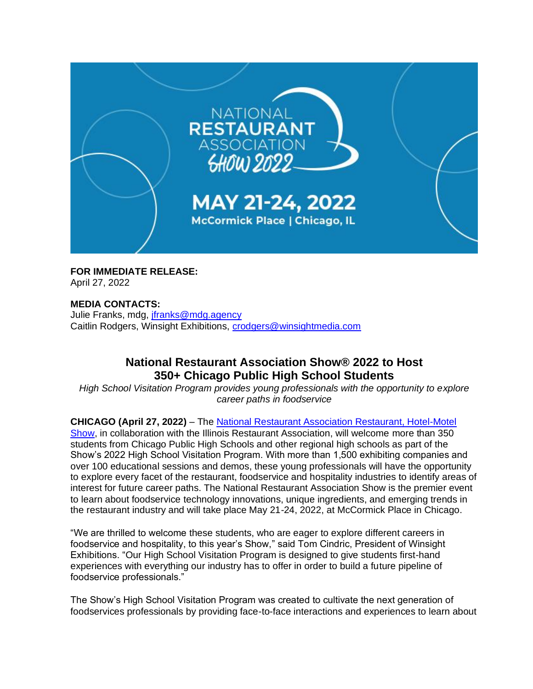

**FOR IMMEDIATE RELEASE:** April 27, 2022

**MEDIA CONTACTS:** Julie Franks, mdg, [jfranks@mdg.agency](mailto:jfranks@mdg.agency) Caitlin Rodgers, Winsight Exhibitions, [crodgers@winsightmedia.com](mailto:crodgers@winsightmedia.com)

## **National Restaurant Association Show® 2022 to Host 350+ Chicago Public High School Students**

*High School Visitation Program provides young professionals with the opportunity to explore career paths in foodservice*

**CHICAGO (April 27, 2022)** – The [National Restaurant Association Restaurant, Hotel-Motel](https://www.nationalrestaurantshow.com/)  [Show,](https://www.nationalrestaurantshow.com/) in collaboration with the Illinois Restaurant Association, will welcome more than 350 students from Chicago Public High Schools and other regional high schools as part of the Show's 2022 High School Visitation Program. With more than 1,500 exhibiting companies and over 100 educational sessions and demos, these young professionals will have the opportunity to explore every facet of the restaurant, foodservice and hospitality industries to identify areas of interest for future career paths. The National Restaurant Association Show is the premier event to learn about foodservice technology innovations, unique ingredients, and emerging trends in the restaurant industry and will take place May 21-24, 2022, at McCormick Place in Chicago.

"We are thrilled to welcome these students, who are eager to explore different careers in foodservice and hospitality, to this year's Show," said Tom Cindric, President of Winsight Exhibitions. "Our High School Visitation Program is designed to give students first-hand experiences with everything our industry has to offer in order to build a future pipeline of foodservice professionals."

The Show's High School Visitation Program was created to cultivate the next generation of foodservices professionals by providing face-to-face interactions and experiences to learn about